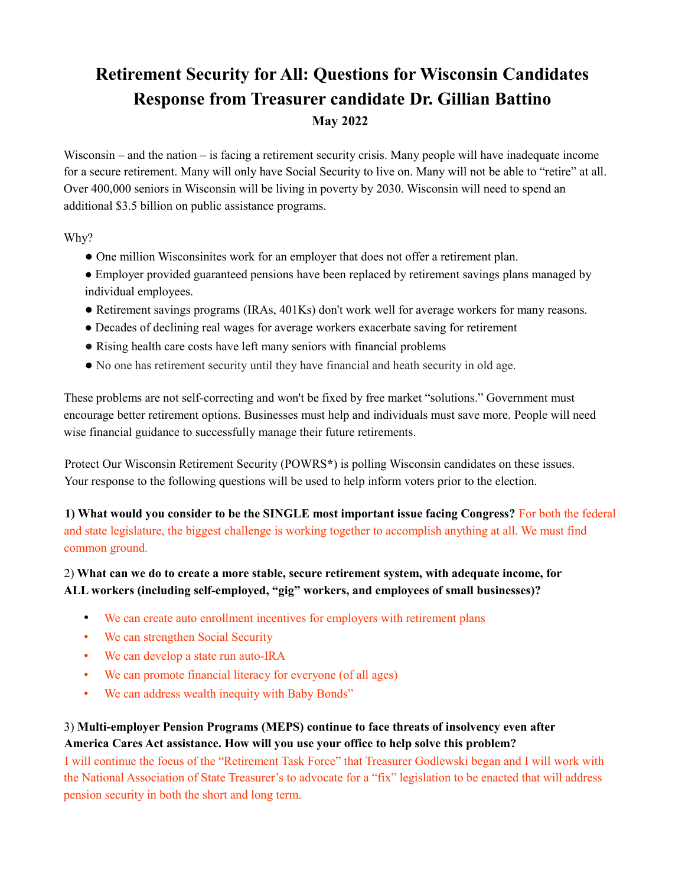# **Retirement Security for All: Questions for Wisconsin Candidates Response from Treasurer candidate Dr. Gillian Battino May 2022**

Wisconsin – and the nation – is facing a retirement security crisis. Many people will have inadequate income for a secure retirement. Many will only have Social Security to live on. Many will not be able to "retire" at all. Over 400,000 seniors in Wisconsin will be living in poverty by 2030. Wisconsin will need to spend an additional \$3.5 billion on public assistance programs.

Why?

- One million Wisconsinites work for an employer that does not offer a retirement plan.
- Employer provided guaranteed pensions have been replaced by retirement savings plans managed by individual employees.
- Retirement savings programs (IRAs, 401Ks) don't work well for average workers for many reasons.
- Decades of declining real wages for average workers exacerbate saving for retirement
- Rising health care costs have left many seniors with financial problems
- No one has retirement security until they have financial and heath security in old age.

These problems are not self-correcting and won't be fixed by free market "solutions." Government must encourage better retirement options. Businesses must help and individuals must save more. People will need wise financial guidance to successfully manage their future retirements.

Protect Our Wisconsin Retirement Security (POWRS**\***) is polling Wisconsin candidates on these issues. Your response to the following questions will be used to help inform voters prior to the election.

**1) What would you consider to be the SINGLE most important issue facing Congress?** For both the federal and state legislature, the biggest challenge is working together to accomplish anything at all. We must find common ground.

## 2) **What can we do to create a more stable, secure retirement system, with adequate income, for ALL workers (including self-employed, "gig" workers, and employees of small businesses)?**

- We can create auto enrollment incentives for employers with retirement plans
- We can strengthen Social Security
- We can develop a state run auto-IRA
- We can promote financial literacy for everyone (of all ages)
- We can address wealth inequity with Baby Bonds"

## 3) **Multi-employer Pension Programs (MEPS) continue to face threats of insolvency even after America Cares Act assistance. How will you use your office to help solve this problem?**

I will continue the focus of the "Retirement Task Force" that Treasurer Godlewski began and I will work with the National Association of State Treasurer's to advocate for a "fix" legislation to be enacted that will address pension security in both the short and long term.